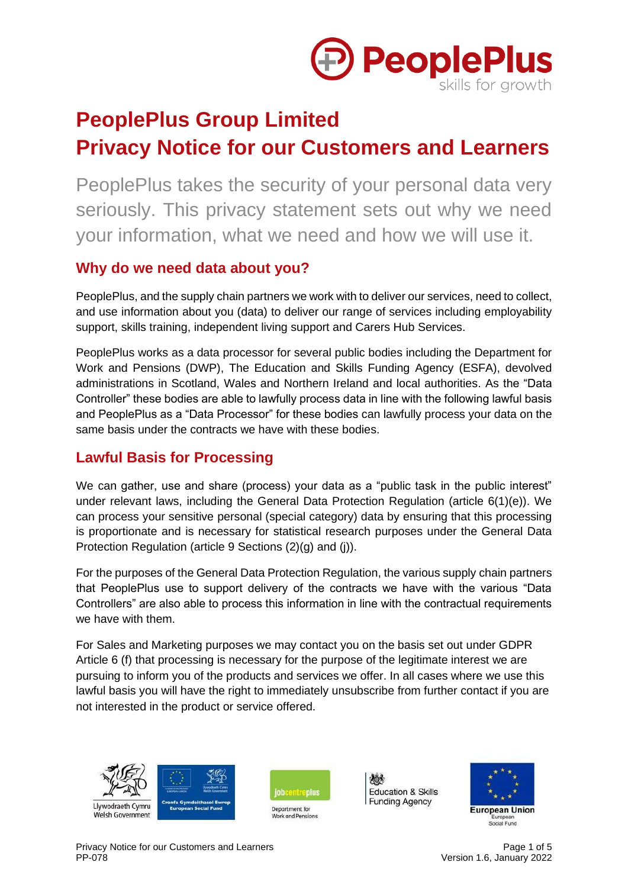

# **PeoplePlus Group Limited Privacy Notice for our Customers and Learners**

PeoplePlus takes the security of your personal data very seriously. This privacy statement sets out why we need your information, what we need and how we will use it.

## **Why do we need data about you?**

PeoplePlus, and the supply chain partners we work with to deliver our services, need to collect, and use information about you (data) to deliver our range of services including employability support, skills training, independent living support and Carers Hub Services.

PeoplePlus works as a data processor for several public bodies including the Department for Work and Pensions (DWP), The Education and Skills Funding Agency (ESFA), devolved administrations in Scotland, Wales and Northern Ireland and local authorities. As the "Data Controller" these bodies are able to lawfully process data in line with the following lawful basis and PeoplePlus as a "Data Processor" for these bodies can lawfully process your data on the same basis under the contracts we have with these bodies.

## **Lawful Basis for Processing**

We can gather, use and share (process) your data as a "public task in the public interest" under relevant laws, including the General Data Protection Regulation (article 6(1)(e)). We can process your sensitive personal (special category) data by ensuring that this processing is proportionate and is necessary for statistical research purposes under the General Data Protection Regulation (article 9 Sections (2)(g) and (j)).

For the purposes of the General Data Protection Regulation, the various supply chain partners that PeoplePlus use to support delivery of the contracts we have with the various "Data Controllers" are also able to process this information in line with the contractual requirements we have with them.

For Sales and Marketing purposes we may contact you on the basis set out under GDPR Article 6 (f) that processing is necessary for the purpose of the legitimate interest we are pursuing to inform you of the products and services we offer. In all cases where we use this lawful basis you will have the right to immediately unsubscribe from further contact if you are not interested in the product or service offered.





脑 **Education & Skills Funding Agency** 

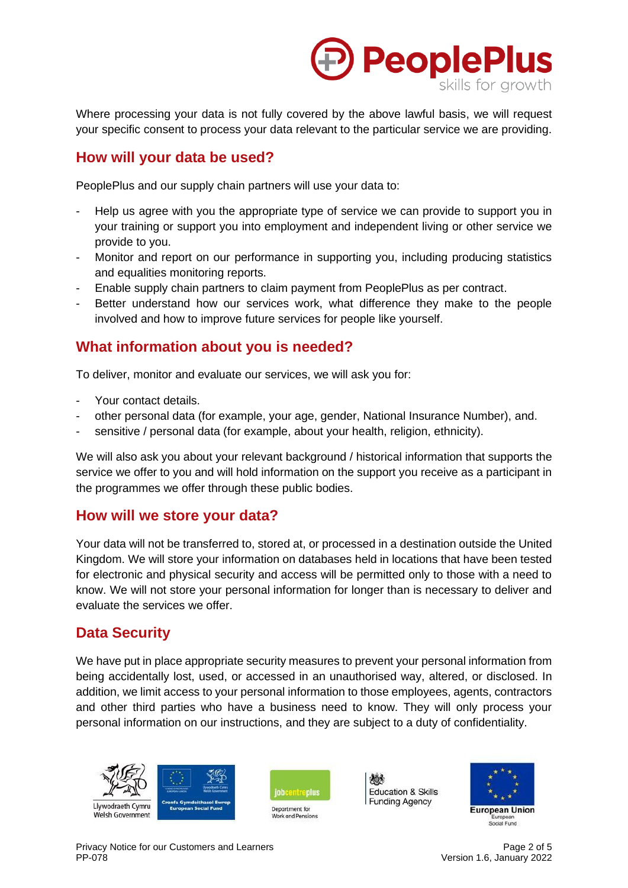

Where processing your data is not fully covered by the above lawful basis, we will request your specific consent to process your data relevant to the particular service we are providing.

#### **How will your data be used?**

PeoplePlus and our supply chain partners will use your data to:

- Help us agree with you the appropriate type of service we can provide to support you in your training or support you into employment and independent living or other service we provide to you.
- Monitor and report on our performance in supporting you, including producing statistics and equalities monitoring reports.
- Enable supply chain partners to claim payment from PeoplePlus as per contract.
- Better understand how our services work, what difference they make to the people involved and how to improve future services for people like yourself.

## **What information about you is needed?**

To deliver, monitor and evaluate our services, we will ask you for:

- Your contact details.
- other personal data (for example, your age, gender, National Insurance Number), and.
- sensitive / personal data (for example, about your health, religion, ethnicity).

We will also ask you about your relevant background / historical information that supports the service we offer to you and will hold information on the support you receive as a participant in the programmes we offer through these public bodies.

#### **How will we store your data?**

Your data will not be transferred to, stored at, or processed in a destination outside the United Kingdom. We will store your information on databases held in locations that have been tested for electronic and physical security and access will be permitted only to those with a need to know. We will not store your personal information for longer than is necessary to deliver and evaluate the services we offer.

## **Data Security**

We have put in place appropriate security measures to prevent your personal information from being accidentally lost, used, or accessed in an unauthorised way, altered, or disclosed. In addition, we limit access to your personal information to those employees, agents, contractors and other third parties who have a business need to know. They will only process your personal information on our instructions, and they are subject to a duty of confidentiality.





ද්රා **Education & Skills Funding Agency** 

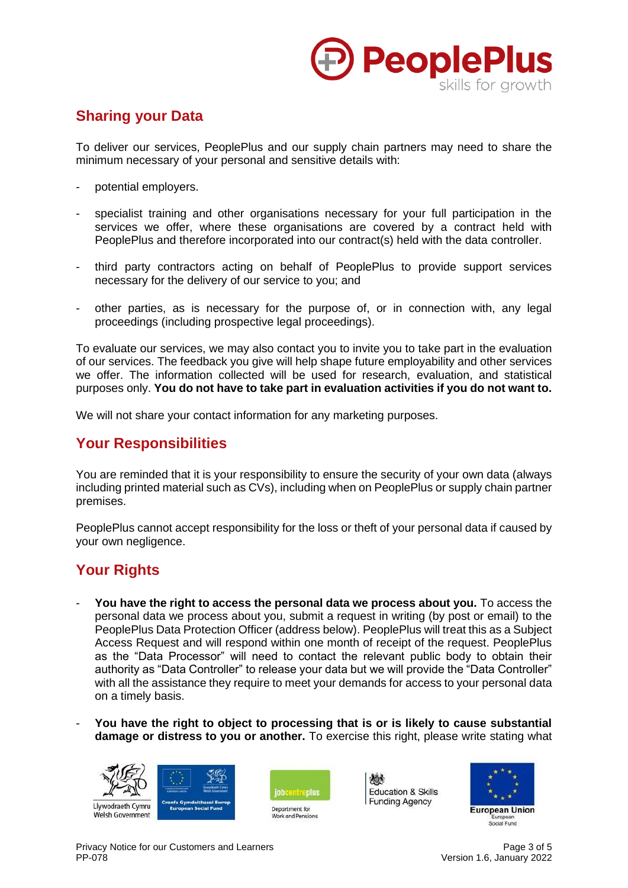

# **Sharing your Data**

To deliver our services, PeoplePlus and our supply chain partners may need to share the minimum necessary of your personal and sensitive details with:

- potential employers.
- specialist training and other organisations necessary for your full participation in the services we offer, where these organisations are covered by a contract held with PeoplePlus and therefore incorporated into our contract(s) held with the data controller.
- third party contractors acting on behalf of PeoplePlus to provide support services necessary for the delivery of our service to you; and
- other parties, as is necessary for the purpose of, or in connection with, any legal proceedings (including prospective legal proceedings).

To evaluate our services, we may also contact you to invite you to take part in the evaluation of our services. The feedback you give will help shape future employability and other services we offer. The information collected will be used for research, evaluation, and statistical purposes only. **You do not have to take part in evaluation activities if you do not want to.**

We will not share your contact information for any marketing purposes.

## **Your Responsibilities**

You are reminded that it is your responsibility to ensure the security of your own data (always including printed material such as CVs), including when on PeoplePlus or supply chain partner premises.

PeoplePlus cannot accept responsibility for the loss or theft of your personal data if caused by your own negligence.

## **Your Rights**

- **You have the right to access the personal data we process about you.** To access the personal data we process about you, submit a request in writing (by post or email) to the PeoplePlus Data Protection Officer (address below). PeoplePlus will treat this as a Subject Access Request and will respond within one month of receipt of the request. PeoplePlus as the "Data Processor" will need to contact the relevant public body to obtain their authority as "Data Controller" to release your data but we will provide the "Data Controller" with all the assistance they require to meet your demands for access to your personal data on a timely basis.
- **You have the right to object to processing that is or is likely to cause substantial damage or distress to you or another.** To exercise this right, please write stating what







ද්රා Education & Skills **Funding Agency** 

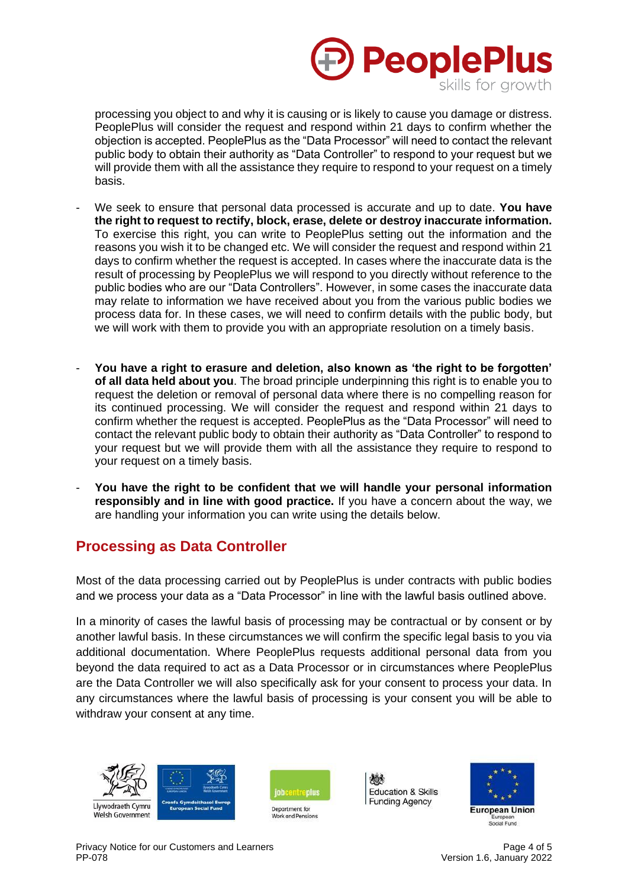

processing you object to and why it is causing or is likely to cause you damage or distress. PeoplePlus will consider the request and respond within 21 days to confirm whether the objection is accepted. PeoplePlus as the "Data Processor" will need to contact the relevant public body to obtain their authority as "Data Controller" to respond to your request but we will provide them with all the assistance they require to respond to your request on a timely basis.

- We seek to ensure that personal data processed is accurate and up to date. **You have the right to request to rectify, block, erase, delete or destroy inaccurate information.** To exercise this right, you can write to PeoplePlus setting out the information and the reasons you wish it to be changed etc. We will consider the request and respond within 21 days to confirm whether the request is accepted. In cases where the inaccurate data is the result of processing by PeoplePlus we will respond to you directly without reference to the public bodies who are our "Data Controllers". However, in some cases the inaccurate data may relate to information we have received about you from the various public bodies we process data for. In these cases, we will need to confirm details with the public body, but we will work with them to provide you with an appropriate resolution on a timely basis.
- **You have a right to erasure and deletion, also known as 'the right to be forgotten' of all data held about you**. The broad principle underpinning this right is to enable you to request the deletion or removal of personal data where there is no compelling reason for its continued processing. We will consider the request and respond within 21 days to confirm whether the request is accepted. PeoplePlus as the "Data Processor" will need to contact the relevant public body to obtain their authority as "Data Controller" to respond to your request but we will provide them with all the assistance they require to respond to your request on a timely basis.
- **You have the right to be confident that we will handle your personal information responsibly and in line with good practice.** If you have a concern about the way, we are handling your information you can write using the details below.

## **Processing as Data Controller**

Most of the data processing carried out by PeoplePlus is under contracts with public bodies and we process your data as a "Data Processor" in line with the lawful basis outlined above.

In a minority of cases the lawful basis of processing may be contractual or by consent or by another lawful basis. In these circumstances we will confirm the specific legal basis to you via additional documentation. Where PeoplePlus requests additional personal data from you beyond the data required to act as a Data Processor or in circumstances where PeoplePlus are the Data Controller we will also specifically ask for your consent to process your data. In any circumstances where the lawful basis of processing is your consent you will be able to withdraw your consent at any time.





勉 Education & Skills **Funding Agency** 



Privacy Notice for our Customers and Learners Page 4 of 5 PP-078 Version 1.6, January 2022